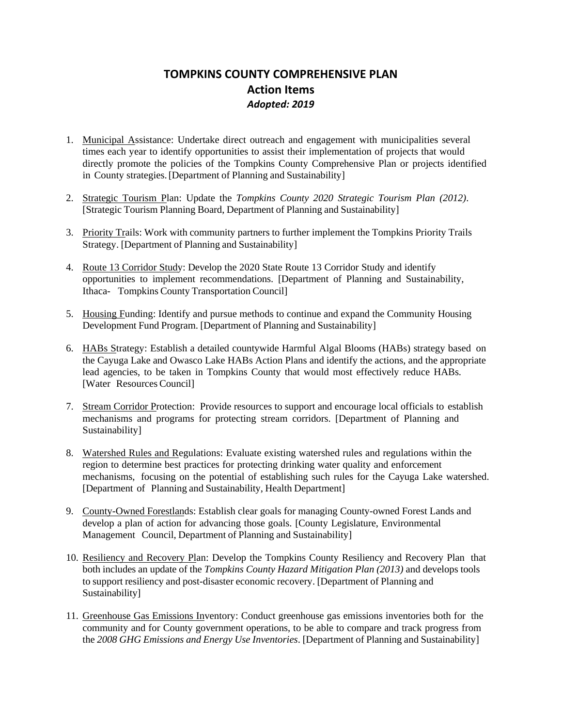## **TOMPKINS COUNTY COMPREHENSIVE PLAN Action Items** *Adopted: 2019*

- 1. Municipal Assistance: Undertake direct outreach and engagement with municipalities several times each year to identify opportunities to assist their implementation of projects that would directly promote the policies of the Tompkins County Comprehensive Plan or projects identified in County strategies.[Department of Planning and Sustainability]
- 2. Strategic Tourism Plan: Update the *Tompkins County 2020 Strategic Tourism Plan (2012)*. [Strategic Tourism Planning Board, Department of Planning and Sustainability]
- 3. Priority Trails: Work with community partners to further implement the Tompkins Priority Trails Strategy. [Department of Planning and Sustainability]
- 4. Route 13 Corridor Study: Develop the 2020 State Route 13 Corridor Study and identify opportunities to implement recommendations. [Department of Planning and Sustainability, Ithaca- Tompkins County Transportation Council]
- 5. Housing Funding: Identify and pursue methods to continue and expand the Community Housing Development Fund Program. [Department of Planning and Sustainability]
- 6. HABs Strategy: Establish a detailed countywide Harmful Algal Blooms (HABs) strategy based on the Cayuga Lake and Owasco Lake HABs Action Plans and identify the actions, and the appropriate lead agencies, to be taken in Tompkins County that would most effectively reduce HABs. [Water Resources Council]
- 7. Stream Corridor Protection: Provide resources to support and encourage local officials to establish mechanisms and programs for protecting stream corridors. [Department of Planning and Sustainability]
- 8. Watershed Rules and Regulations: Evaluate existing watershed rules and regulations within the region to determine best practices for protecting drinking water quality and enforcement mechanisms, focusing on the potential of establishing such rules for the Cayuga Lake watershed. [Department of Planning and Sustainability, Health Department]
- 9. County-Owned Forestlands: Establish clear goals for managing County-owned Forest Lands and develop a plan of action for advancing those goals. [County Legislature, Environmental Management Council, Department of Planning and Sustainability]
- 10. Resiliency and Recovery Plan: Develop the Tompkins County Resiliency and Recovery Plan that both includes an update of the *Tompkins County Hazard Mitigation Plan (2013)* and develops tools to support resiliency and post-disaster economic recovery. [Department of Planning and Sustainability]
- 11. Greenhouse Gas Emissions Inventory: Conduct greenhouse gas emissions inventories both for the community and for County government operations, to be able to compare and track progress from the *2008 GHG Emissions and Energy Use Inventories*. [Department of Planning and Sustainability]